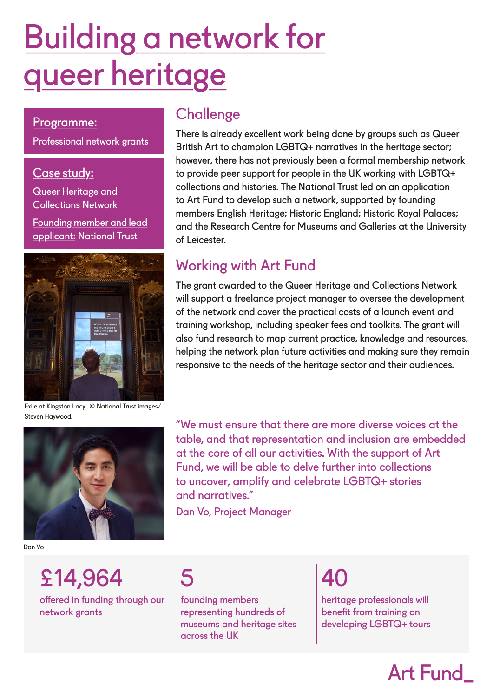# Building a network for queer heritage

#### Programme:

Professional network grants

#### Case study:

Queer Heritage and Collections Network Founding member and lead applicant: National Trust



Exile at Kingston Lacy. © National Trust images/ Steven Haywood.



Dan Vo

## **Challenge**

There is already excellent work being done by groups such as Queer British Art to champion LGBTQ+ narratives in the heritage sector; however, there has not previously been a formal membership network to provide peer support for people in the UK working with LGBTQ+ collections and histories. The National Trust led on an application to Art Fund to develop such a network, supported by founding members English Heritage; Historic England; Historic Royal Palaces; and the Research Centre for Museums and Galleries at the University of Leicester.

### Working with Art Fund

The grant awarded to the Queer Heritage and Collections Network will support a freelance project manager to oversee the development of the network and cover the practical costs of a launch event and training workshop, including speaker fees and toolkits. The grant will also fund research to map current practice, knowledge and resources, helping the network plan future activities and making sure they remain responsive to the needs of the heritage sector and their audiences.

"We must ensure that there are more diverse voices at the table, and that representation and inclusion are embedded at the core of all our activities. With the support of Art Fund, we will be able to delve further into collections to uncover, amplify and celebrate LGBTQ+ stories and narratives."

Dan Vo, Project Manager

£14,964 5 40 offered in funding through our network grants



founding members representing hundreds of museums and heritage sites across the UK

heritage professionals will benefit from training on developing LGBTQ+ tours

# Art Fund